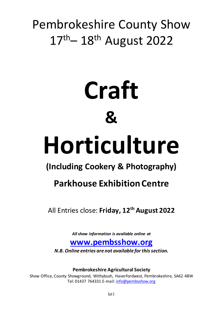# Pembrokeshire County Show 17<sup>th</sup> 18<sup>th</sup> August 2022

# **Craft & Horticulture**

# **(Including Cookery & Photography)**

# **Parkhouse Exhibition Centre**

All Entries close: **Friday, 12th August 2022**

*All show information is available online at*

# **[www.pembsshow.org](http://www.pembsshow.org/)**

*N.B. Online entries are not available for this section.*

**Pembrokeshire Agricultural Society**

Show Office, County Showground, Withybush, Haverfordwest, Pembrokeshire, SA62 4BW Tel: 01437 764331 E-mail[: info@pembsshow.org](mailto:info@pembsshow.org)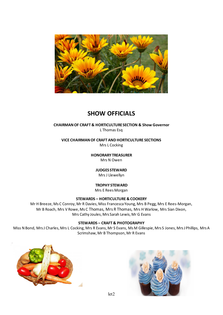

# **SHOW OFFICIALS**

# **CHAIRMAN OF CRAFT & HORTICULTURE SECTION & Show Governor** L Thomas Esq

**VICE CHAIRMAN OF CRAFT AND HORTICULTURE SECTIONS** Mrs L Cocking

> **HONORARY TREASURER** Mrs N Owen

> > **JUDGES STEWARD** Mrs J Llewellyn

# **TROPHY STEWARD**

Mrs E Rees Morgan

## **STEWARDS – HORTICULTURE & COOKERY**

Mr H Breeze, Ms C Conroy, Mr R Davies, Miss Francesca Young, Mrs B Pegg, Mrs E Rees-Morgan, Mr B Roach, Mrs V Rowe, Ms C Thomas, Mrs R Thomas, Mrs H Warlow, Mrs Sian Dixon, Mrs Cathy Joules, Mrs Sarah Lewis, Mr G Evans

## **STEWARDS – CRAFT & PHOTOGRAPHY**

Miss N Bond, Mrs J Charles, Mrs L Cocking, Mrs R Evans, Mr S Evans, Ms M Gillespie, Mrs S Jones, Mrs J Phillips, Mrs A Scrimshaw, Mr B Thompson, Mr R Evans



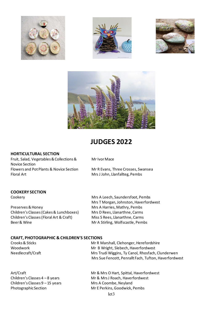







# **JUDGES 2022**

#### **HORTICULTURAL SECTION**

Fruit, Salad, Vegetables & Collections & Mr Ivor Mace Novice Section Flowers and Pot Plants & Novice Section Mr R Evans, Three Crosses, Swansea Floral Art Mrs J John, Llanfallteg, Pembs

## **COOKERY SECTION**

Preserves & Honey Mrs A Harries, Mathry, Pembs Children's Classes (Cakes & Lunchboxes) Mrs D Rees, Llanarthne, Carms Children's Classes (Floral Art & Craft) Miss S Rees, Llanarthne, Carms Beer & Wine **Mr A Stirling, Wolfscastle, Pembs** 

Cookery **Mrs A Leech, Saundersfoot, Pembs** Mrs T Morgan, Johnston, Haverfordwest

## **CRAFT, PHOTOGRAPHIC & CHILDREN'S SECTIONS**

Crooks & Sticks **Mr R Marshall, Clehonger, Herefordshire** Woodwork Mr B Wright, Slebech, Haverfordwest Needlecraft/Craft Mrs Trudi Wiggins, Ty Canol, Rhosfach, Clunderwen Mrs Sue Fencott, Penrallt Fach, Tufton, Haverfordwest

Children's Classes 9 – 15 years Mrs A Coombe, Neyland

Art/Craft **Mr & Mrs O Hart, Spittal, Haverfordwest** Children's Classes 4 – 8 years Mr & Mrs J Roach, Haverfordwest Photographic Section Mr E Perkins, Goodwick, Pembs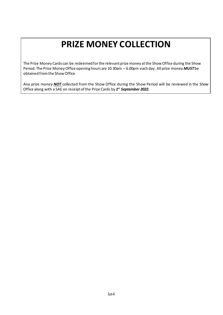# **PRIZE MONEY COLLECTION**

The Prize Money Cards can be redeemed for the relevant prize money at the Show Office during the Show Period. The Prize Money Office opening hours are 10.30am – 6.00pm each day. All prize money *MUST*be obtained from the Show Office

Any prize money *NOT* collected from the Show Office during the Show Period will be reviewed in the Show Office along with a SAE on receipt of the Prize Cards by *1st September 2022.*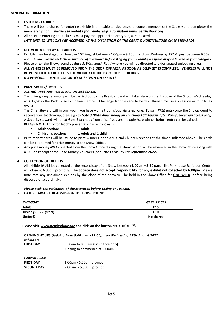#### **1 ENTERING EXHIBITS**

- There will be no charge for entering exhibits if the exhibitor decides to become a member of the Society and completes the membership form. *Please see website for membership information [www.pembsshow.org](http://www.pembsshow.org/)*
- All children entering adult classes must pay the appropriate entry fee, as stipulated. *LATE ENTRIES WILL ONLY BE ACCEPTED AT THE DISCRETION OF THE CRAFT & HORTICULTURE CHIEF STEWARDS*

#### **2. DELIVERY & DISPLAY OF EXHIBITS**

- Exhibits may be staged on Tuesday  $16<sup>th</sup>$  August between 4.00pm 9.30pm and on Wednesday  $17<sup>th</sup>$  August between 6.30am and 8.30am. *Please seek the assistance of a Steward before staging your exhibits, as space may be limited in your category*.
- Please enter the Showground at *Gate 3, Withybush Road* where you will be directed to a designated unloading area.
- **ALL VEHICLES MUST BE REMOVED FROM THE DROP OFF AREA AS SOON AS DELIVERY IS COMPLETE. VEHICLES WILL NOT BE PERMITTED TO BE LEFT IN THE VICINITY OF THE PARKHOUSE BUILDING.**
- **NO PERSONAL IDENTIFICATION TO BE SHOWN ON EXHIBITS**

#### **3. PRIZE MONEY/TROPHIES**

- *ALL TROPHIES ARE PERPETUAL UNLESS STATED*
- The prize giving ceremony will be carried out by the President and will take place on the first day of the Show (Wednesday) at *3.15pm* in the Parkhouse Exhibition Centre . Challenge trophies are to be won three times in succession or four times overall.
- The Chief Steward will inform you if you have won a trophy/cup via telephone. To gain *FREE* entry onto the Showground to receive your trophy/cup, please go to *Gate 3 (Withybush Road) on Thursday 18th August after 2pm (pedestrian access only)*. A Security steward will be at Gate 3 to check from a list if you are a trophy/cup winner before entry can be gained. **PLEASE NOTE:** Entry for trophy presentation is as follows: -
	- **Adult section:** 1 Adult
		- **Children's section: 1 Adult and 1 child**
- Prize money cards will be issued to prize winners in the Adult and Children sections at the times indicated above. The Cards can be redeemed for prize money at the Show Office.
- Any prize money *NOT* collected from the Show Office during the Show Period will be reviewed in the Show Office along with a SAE on receipt of the Prize Money Vouchers (not Prize Cards) by *1st September 2022.*

#### **4. COLLECTION OF EXHIBITS**

All exhibits **MUST** be collected on the second day of the Show between **4.00pm – 5.30 p.m.**. The Parkhouse Exhibition Centre will close at 6.00pm promptly. **The Society does not accept responsibility for any exhibit not collected by 6.00pm**. Please note that any unclaimed exhibits by the close of the show will be held in the Show Office for **ONE WEEK**, before being disposed of accordingly.

# *Please seek the assistance of the Stewards before taking any exhibit.*

#### **5. GATE CHARGES FOR ADMISSION TO SHOWGROUND**

| <b>CATEGORY</b>                | <b>GATE PRICES</b> |
|--------------------------------|--------------------|
| <b>Adult</b>                   | £15                |
| <b>Junior</b> $(5 - 17$ years) | £10                |
| <b>Under 5</b>                 | No charge          |

 **Please visit [www.pembsshow.org](http://www.pembsshow.org/) and click on the button "BUY TICKETS".**

| <b>Exhibitors</b>     | OPENING HOURS (Judging from 9.00 a.m. -12.00pm on Wednesday 17th August 2022 |
|-----------------------|------------------------------------------------------------------------------|
| <b>FIRST DAY</b>      | 6.30am to 8.30am (Exhibitors only)                                           |
|                       | Judging to commence at 9.00am                                                |
| <b>General Public</b> |                                                                              |
| <b>FIRST DAY</b>      | $1.00pm - 6.00pm$ prompt                                                     |
| <b>SECOND DAY</b>     | $9.00$ am $-5.30$ pm prompt                                                  |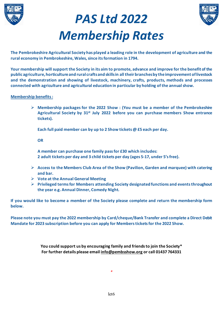





**The Pembrokeshire Agricultural Society has played a leading role in the development of agriculture and the rural economy in Pembrokeshire, Wales, since its formation in 1794.**

**Your membership will support the Society in its aim to promote, advance and improve for the benefit of the public agriculture, horticulture and rural crafts and skills in all their branches by the improvement of livestock and the demonstration and showing of livestock, machinery, crafts, products, methods and processes connected with agriculture and agricultural education in particular by holding of the annual show.**

## **Membership benefits :**

 **Membership packages for the 2022 Show : (You must be a member of the Pembrokeshire Agricultural Society by 31st July 2022 before you can purchase members Show entrance tickets).**

**Each full paid member can by up to 2 Show tickets @ £5 each per day.**

**OR**

**A member can purchase one family pass for £30 which includes: 2 adult tickets per day and 3 child tickets per day (ages 5-17, under 5's free).**

- **Access to the Members Club Area of the Show (Pavilion, Garden and marquee) with catering and bar.**
- **Vote at the Annual General Meeting**
- **Privileged terms for Members attending Society designated functions and events throughout the year e.g. Annual Dinner, Comedy Night.**

**If you would like to become a member of the Society please complete and return the membership form below.** 

**Please note you must pay the 2022 membership by Card/cheque/Bank Transfer and complete a Direct Debit Mandate for 2023 subscription before you can apply for Members tickets for the 2022 Show.**

> **You could support us by encouraging family and friends to join the Society\* For further details please email [info@pembsshow.org](mailto:info@pembsshow.org) or call 01437 764331**

> > *\**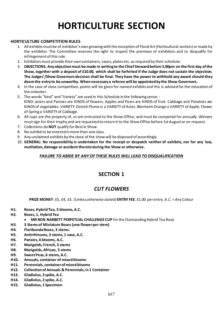# **HORTICULTURE SECTION**

# **HORTICULTURE COMPETITION RULES**

- 1. All exhibits must be of exhibitor's own growing with the exception of Floral Art (Horticultural section) or made by the exhibitor. The Committee reserves the right to inspect the premises of exhibitors and to disqualify for infringement of this rule.
- 2. Exhibitors must provide their own containers, vases, plates etc. as required by their schedule**.**
- 3. **OBJECTIONS. Any objection must be made in writing to the Chief Stewardbefore 3.00pm on the first day of the Show, together with a deposit of £10.00, which shall be forfeited if the Judge does not sustain the objection. The Judges'/Show Governors decision shall be final. They have the power to withhold any award should they deem the entry to be unworthy. When necessary a referee will be appointed by the Show Governors.**
- 4. In the case of close competition, points will be given for named exhibits and this is advised for the education of the onlooker.
- 5. The words "kind" and "Variety" are used in this Schedule in the following sense: KIND: asters and Pansies are KINDS of flowers. Apples and Pears are KINDS of fruit. Cabbage and Potatoes are KINDS of vegetables. VARIETY: Ostrich Plume is a VARIETY of Aster, Blenheim Orange a VARIETY of Apple, Flower of Spring a VARIETY of Cabbage.
- 6. All cups are the property of, or are entrusted to the Show Office, and must be competed for annually. Winners must sign for their trophy and are requested to return it to the Show Office before 1st August or on request.
- 7. Collections do **NOT** qualify for Best in Show.
- 8. No exhibit to be entered in more than one class.
- 9. Any unclaimed exhibits by the close of the show will be disposed of accordingly.
- 10. **GENERAL: No responsibility is undertaken for the receipt or despatch neither of exhibits, nor for any loss, mutilation, damage or accident thereto during the Show or otherwise.**

# *FAILURE TO ABIDE BY ANY OF THESE RULES WILL LEAD TO DISQUALIFICATION*

# **SECTION 1**

# *CUT FLOWERS*

**PRIZE MONEY**: £5, £4, £3. *(Unless otherwise stated)* **ENTRY FEE**: £1.00 per entry. *A.C. = Any Colour*

- **H1. Roses, Hybrid Tea, 3 blooms, A.C.**
- **H2. Roses, 1, Hybrid Tea**
	- **MR RON NARBETT PERPETUAL CHALLENGE CUP** for the Outstanding Hybrid Tea Rose
- **H3. 3 Stems of Miniature Roses (one flower per stem)**
- **H4. Floribunda Roses, 3 stems.**
- **H5. Antirrhinums, 3 stems, 1 vase, A.C.**
- **H6. Pansies, 6 blooms, A.C.**
- **H7. Marigolds, French, 3 stems**
- **H8. Marigolds, African, 3 stems**
- **H9. Sweet Peas, 6 stems, A.C.**
- **H10. Annuals, container of mixed blooms**
- **H11. Perennials, container of mixed blooms**
- **H12. Collection of Annuals & Perennials, in 1 Container**
- **H13. Gladiolus, 3 spike, A.C.**
- **H14. Gladiolus, 2 spike, A.C.**
- **H15. Gladiolus, 1 Specimen**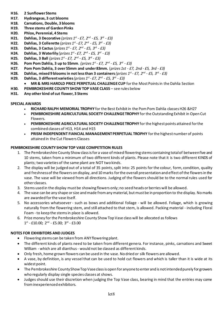- **H16. 2 Sunflower Stems**
- **H17. Hydrangeas, 3 cut blooms**
- **H18. Carnations, Double, 3 blooms**
- **H19. Three stems of Garden Pinks**
- **H20. Phlox, Perennial, 4 Stems**
- **H21. Dahlias, 3 Decorative** *(prizes 1st - £7, 2nd - £5, 3rd - £3)*
- **H22. Dahlias, 3 Collerette** *(prizes 1st - £7, 2nd - £5, 3rd - £3)*
- **H23. Dahlias, 3 Cactus** *(prizes 1st - £7, 2nd - £5, 3rd - £3)*
- **H24. Dahlias, 3 Waterlily** *(prizes 1st - £7, 2nd - £5, 3rd - £3)*
- **H25. Dahlias, 3 Ball** *(prizes 1st - £7, 2nd - £5, 3rd - £3)*
- **H26. Pom Pom Dahlia, 3 up to 55mm.** *(prizes 1st - £7, 2nd - £5, 3rd - £3)*
- **H27. Pom Pom Dahlia, 3 over 55mm and under 83mm.** (*prizes 1st - £7, 2nd - £5, 3rd - £3)*
- **H28. Dahlias, mixed 9 blooms in not less than 3 containers** *(prizes 1st - £7, 2nd - £5, 3rd - £3)*
- **H29. Dahlias, 3 different varieties***(prizes 1st - £7, 2nd - £5, 3rd - £3)*
	- **MR & MRS HAROLD PRICE PERPETUAL CHALLENGE CUP** for the Most Points in the Dahlia Section
- **H30. PEMBROKESHIRE COUNTY SHOW TOP VASE CLASS** see rules below
- **H31. Any other kind of cut flower, 3 Stems**

## **SPECIAL AWARDS**

- **RICHARD RALPH MEMORIAL TROPHY** for the Best Exhibit in the Pom Pom Dahlia classesH26 &H27
- **PEMBROKESHIRE AGRICULTURAL SOCIETY CHALLENGE TROPHY** for the Outstanding Exhibit in Open Cut Flowers*.*
- **PEMBROKESHIRE AGRICULTURAL SOCIETY CHALLENGE TROPHY** for the highest points attained for the combined classes of H13, H14 and H15
- **PRISM INDEPENDENT FIANCIAL MANAGEMENT PERPETUAL TROPHY** for the highest number of points attained in the Cut Flowers Classes

# **PEMBROKESHIRE COUNTY SHOW TOP VASE COMPETITION RULES**

- 1. The Pembrokeshire County Show class is for a vase of mixed flowering stems containing total of between five and 10 stems, taken from a minimum of two different kinds of plants. Please note that it is two different KINDS of plants; two varieties of the same plant are NOT two kinds.
- 2. The display will be judged out of a total of 35 points, split into: 25 points for the colour, form, condition, quality and freshness of the flowers on display, and 10 marks for the overall presentation and effect of the flowers in the vase. The vase will be viewed from all directions. Judging of the flowers should be to the normal rules used for other classes.
- 3. Stems used in the display must be showing flowers only; no seed heads or berries will be allowed.
- 4. The vase can be any shape or size and made from any material, but must be in proportion to the display. No marks are awarded for the vase itself.
- 5. No accessories whatsoever such as bows and additional foliage will be allowed. Foliage, which is growing naturally from the flowering stem, and still attached to that stem, is allowed. Packing material - including Floral Foam -to keep the stems in place is allowed.
- 6. Prize money for the Pembrokeshire County Show Top Vase class will be allocated as follows  $1^{st}$  - £10.00;  $2^{nd}$  - £5.00;  $3^{rd}$  - £3.00

# **NOTES FOR EXHIBITORS AND JUDGES**

- Flowering stems can be taken from ANY flowering plant.
- The different kinds of plants need to be taken from different genera. For instance, pinks, carnations and Sweet William - which are all dianthus - would not be classed as different kinds.
- Only fresh, home grown flowers can be used in the vase. No dried or silk flowers are allowed.
- A vase, by definition, is any vessel that can be used to hold cut flowers and which is taller than it is wide at its widest point.
- The Pembrokeshire County Show Top Vaseclass is open for anyone to enter and is not intended purely for growers who regularly display single species classes at shows.
- Judges should use their discretion when judging the Top Vase class, bearing in mind that the entries may come from inexperienced exhibitors.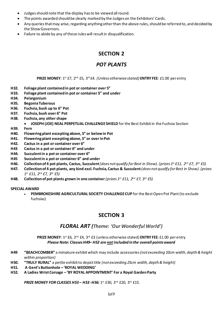- Judges should note that the display has to be viewed all round.
- The points awarded should be clearly marked by the Judges on the Exhibitors' Cards.
- Any queries that may arise, regarding anything other than the above rules, should be referred to, and decided by the Show Governors.
- Failure to abide by any of these rules will result in disqualification.

# *POT PLANTS*

**PRIZE MONEY**: 1st £7, 2nd £5, 3rd £4. *(Unless otherwise stated)* **ENTRY FEE**: £1.00 per entry

- **H32. Foliage plant contained in pot or container over 5"**
- **H33. Foliage plant contained in pot or container 5" and under**
- **H34. Pelargonium**
- **H35. Begonia Tuberous**
- **H36. Fuchsia, bush up to 6" Pot**
- **H37. Fuchsia, bush over 6" Pot**
- **H38. Fuchsia, any other shape**
	- **JOSEPH (JOE) NEAL PERPETUAL CHALLENGE SHIELD** for the Best Exhibit in the Fuchsia Section
- **H39. Fern**
- **H40. Flowering plant excepting above, 5" or below in Pot**
- **H41. Flowering plant excepting above, 5" or over in Pot**
- **H42. Cactus in a pot or container over 6"**
- **H43 Cactus in a pot or container 6" and under**
- **H44. Succulentin a pot or container over 6"**
- **H45 Succulent in a pot or container 6" and under**
- **H46. Collection of 4 pot plants, Cactus, Succulent** *(does not qualify for Best in Show). (prizes 1st £11, 2nd £7, 3rd £5)*
- **H47. Collection of 4 pot plants, any kind excl. Fuchsia, Cactus & Succulent***(does not qualify for Best in Show). (prizes 1st £11, 2nd £7, 3rd £5)*
- **H48. Collection of pot plants grown in one container** *(prizes 1st £11, 2nd £7, 3rd £5)*

#### **SPECIAL AWARD**

• **PEMBROKESHIRE AGRICULTURAL SOCIETY CHALLENGE CUP** for the Best Open Pot Plant(to exclude fuchsias)

# **SECTION 3**

# *FLORAL ART (Theme: 'Our Wonderful World')*

#### **PRIZE MONEY**: 1st £6, 2nd £4, 3rd £3 (unless otherwise stated) **ENTRY FEE**: £1.00 perentry *Please Note: Classes H49– H52 are not included in the overall points award*

- **H49 "BEACHCOMBER"** a miniature exhibitwhich may include accessories *(not exceeding 10cm width, depth & height within proportion)*
- **H50. "TRULY RURAL"** a petite exhibitto depict title *(not exceeding 25cm width, depth & height)*
- **H51. A Gent's Buttonhole 'ROYAL WEDDING'**
- **H52. A Ladies WristCorsage 'BY ROYAL APPOINTMENT' For a Royal Garden Party**

**PRIZE MONEY FOR CLASSES H53 - H53 -H56: 1st £30, 2nd £20, 3rd £15.**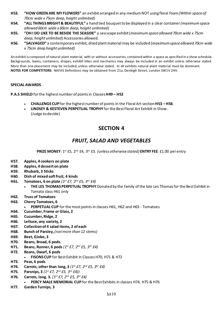- **H53. "HOW GREEN ARE MY FLOWERS"** an exhibit arranged in any medium NOT using floral foam *(Within space of 70cm wide x 75cm deep, height unlimited)*
- **H54. "ALL THINGS BRIGHT & BEAUTIFUL"** a hand tied bouquet to be displayed in a clear container *(maximum space allowed 60cm wide x 60cm deep, height unlimited)*
- **H55. "OH I DO LIKE TO BE BESIDE THE SEASIDE"** a sea scape exhibit (*maximum space allowed 70cm wide x 75cm deep, height unlimited)* Accessories allowed.
- **H56. "SALVAGED"** a contemporary exhibit, dried plant material may be included (*maximum space allowed 70cm wide x 75cm deep height unlimited)*

An exhibit is composed of natural plant material, with or without accessories, contained within a space as specified in a show schedule. Backgrounds, bases, containers, drapes, exhibit titles and mechanics may always be included in an exhibit unless otherwise stated. More than one placement may be included, unless otherwise stated. In all exhibits natural plant material must be dominant. **NOTES FOR COMPETITORS:** NAFAS Definitions may be obtained from 21a, Denbigh Street, London SW1V 2HV.

## **SPECIAL AWARDS**

**P.A.S SHIELD** for the highest number of points in Classes **H49 – H52**

- **CHALLENGE CUP** for the highest number of points in the Floral Art section **H53 – H56**
- **LINDSEY & KESTEVEN PERPETUAL TROPHY** for the Best Floral Art Exhibit in Show. (Judge to decide)

# **SECTION 4**

# *FRUIT, SALAD AND VEGETABLES*

**PRIZE MONEY**: 1st £5, 2nd £4, 3rd £3. *(unless otherwise stated)* **ENTRY FEE**: £1.00 per entry

- **H57. Apples, 4 cookers on plate**
- **H58. Apples, 4 dessert on plate**
- **H59. Rhubarb, 3 Sticks**
- **H60. Dish of mixed soft fruit, 4 kinds**
- **H61. Tomatoes, 6 on plate** *(1st £7, 2nd £5, 3rd £4)*
	- **THE LES THOMAS PERPETUAL TROPHY** Donated by the family of the late Les Thomas for the Best Exhibit in Tomato class H61 only
- **H62. Truss of Tomatoes**
- **H63. Cherry Tomatoes, 6**
	- **PERPETUAL CUP** for the most points in classes H61, H62 and H63 Tomatoes
- **H64. Cucumber, Frame or Glass, 2**
- **H65. Cucumber, Ridge, 2**
- **H66. Lettuce, any variety, 2**
- **H67. Collection of 4 salad items, 2 of each**
- **H68. Bunch of Parsley,** *(not more than 12 stems)*
- **H69. Beet, Globe, 3**
- **H70. Beans, Broad, 6 pods.**
- **H71. Beans, Runner, 6 pods** *(1st £7, 2nd £5, 3rd £4)*
- **H72. Beans, Dwarf, 6 pods**
	- **FISONS CUP** for Best Exhibit in Classes H70, H71 & H72
- **H73. Peas, 6 pods**
- **H74. Carrots, other than long, 3** *(1st £7, 2nd £5, 3rd £4)*
- **H75. Parsnips, 3** *(1st £7, 2nd £5, 3rd £4))*
- **H76. Carrots, long. 3.** *(1st £7, 2nd £5, 3rd £4)*
	- **PERCY MALE MEMORIAL CUP** for the Best Exhibits in classes H74, H75 & H76
- **H77. Garden Turnips, 3**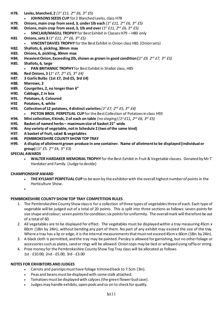- **H78. Leeks, blanched, 2** *(1st £11, 2nd £6, 3rd £5)* • **JOHNSONS SEEDS CUP** for 2 Blanched Leeks, class H78 **H79. Onions, main crop from seed, 3, under 1lb each** *(1st £11, 2nd £6, 3rd £5)* **H80. Onions, main crop from seed, 3, 1lb and over** *(1st £11, 2nd £6, 3rd £5)* • **SINCLAIR/MAGILL TROPHY** for Best Exhibit in Classes H79 – H80 only **H81 Onions, sets 3** *(1st £11, 2nd £6, 3rd £5)* • **VINCENT DAVIES TROPHY** for the Best Exhibit in Onion class H81 (Onion sets) **H82. Shallots, 6, pickling, 30mm max H83. Onions, 6, pickling, 30mm max H84. Heaviest Onion, Exceeding 2lb, shown as grown in good condition (***1st £9, 2nd £7, 3rd £5)* **H85. Shallots, 6, large** • **PAN BRITANNIC TROPHY** for Best Exhibit in Shallot class, H85 **H86. Red Onions, 3 (***1st £7, 2nd £5, 3rd £4)* **H87. 3 Garlic Bulbs (1st £7, 2nd £5, 3rd £4) H88. Marrows, 2 H89. Courgettes, 2, no longer than 6" H90. Cabbage, 2 in box H91. Potatoes, 4, Coloured H92 Potatoes, 4, white H93. Collection of 12 potatoes, 4 distinct varieties** *(1st £7, 2nd £5, 3rd £4)* • **PICTON BROS. PERPETUAL CUP** for the Best Collection of Potatoes in class H93 **H94. Mini collection, 4 kinds, 2 of each on table** *(no staging) (1st £11, 2nd £6, 3rd £5)* **H95. Basket of named herbs – maximum size of basket 21" wide**
	- **H96. Any variety of vegetable, not in Schedule 2 (two of the same kind)**
	- **H97. A basket of fruit, salad & vegetables**
	- **H98. PEMBROKESHIRE COUNTY SHOW TOP TRAY**
	- **H99. A display of allotment grown produce in one container. Name of allotment to be displayed(individual or group)** (1st £5. 2nd £4, 3rd £3)

## **SPECIAL AWARDS**

• **WALTER HARDAKER MEMORIAL TROPHY** for the Best Exhibit in Fruit & Vegetable classes. Donated by Mr T Hardaker and Family. (Judge to decide)

#### **CHAMPIONSHIP AWARD**

- **THE KYLSANT PERPETUAL CUP** to be won by the exhibitor with the overall highest number of points in the Horticulture Show.
- •

## **PEMBROKESHIRE COUNTY SHOW TOP TRAY COMPETITION RULES**

- 1. The Pembrokeshire County Show class is for a collection of three types of vegetablesthree of each. Each type of vegetable will be judged out of a total of 20 points. This is split into three sections as follows: seven points for size shape and colour; seven points for condition; six points for uniformity. The overall mark will therefore be out of a total of 60.
- 2. All vegetables are to be displayed for effect. The vegetables must be displayed within a tray measuring 45cm x 60cm (18in by 24in), without bending any part of them. No part of any exhibit may exceed the size of the tray. Where a tray has a lip or edge, it is the internal measurements that must not exceed 45cm x 60cm (18in by 24in).
- 3. A black cloth is permitted, and the tray may be painted. Parsley is allowed for garnishing, but no other foliage or accessories such as plates, sand or rings will be allowed. Onion tops may be tied or whipped using raffia or string.
- 4. Prize money for the Pembrokeshire County Show Top Tray class will be allocated as follows 1st - £10.00; 2nd - £5.00; 3rd - £3.00

#### **NOTES FOR EXHIBITORS AND JUDGES**

- Carrots and parsnips must have foliage trimmed back to 7.5cm (3in).
- Peas and beans must be displayed with some stalk attached.
- Tomatoes must be displayed with calyces (the green flower bud case).
- Judges may handle exhibits, open pods and so on to check for quality.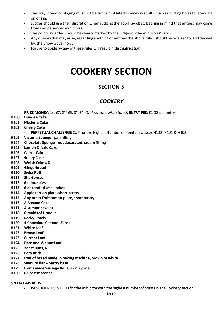- The Tray, board or staging must not be cut or mutilated in anyway at all such as cutting holes for standing onions in.
- Judges should use their discretion when judging the Top Tray class, bearing in mind that entries may come from inexperienced exhibitors.
- The points awarded should be clearly marked by the judges on the exhibitors' cards.
- Any queries that may arise, regarding anything other than the above rules, should be referred to, and decided by, the Show Governors.
- Failure to abide by any of these rules will result in disqualification.

# **COOKERY SECTION**

# **SECTION 5**

# *COOKERY*

**PRIZE MONEY**: 1st £7, 2nd £5, 3rd £4. *(Unless otherwise stated)* **ENTRY FEE**: £1.00 perentry

- **H100. Dundee Cake**
- **H101. Madeira Cake**
- **H102. Cherry Cake**
	- **PERPETUAL CHALLENGE CUP** for the Highest Number of Points in classes H100, H101 & H102
- **H103. Victoria Sponge - jam filling**
- **H104. Chocolate Sponge - not decorated, cream filling**
- **H105. Lemon Drizzle Cake**
- **H106. Carrot Cake**
- **H107. Honey Cake**
- **H108. Welsh Cakes, 6**
- **H109. Gingerbread**
- **H110. Swiss Roll**
- **H111. Shortbread**
- **H112. 6 mince pies**
- **H113. 6 decorated small cakes**
- **H114. Apple tart on plate, short pastry**
- **H115. Any other fruit tart on plate, short pastry**
- **H116. A Banana Cake**
- **H117. A summer sweet**
- **H118. 6 Maids of Honour**
- **H119. Rocky Roads**
- **H120. 4 Chocolate Caramel Slices**
- **H121. White Loaf**
- **H122. Brown Loaf**
- **H123. Currant Loaf**
- **H124. Date and Walnut Loaf**
- **H125. Yeast Buns, 4**
- **H126. Bara Brith**
- **H127. Loaf of bread made in baking machine, brown or white**
- **H128. Savoury flan - pastry base**
- **H129. Homemade Sausage Rolls,** 4 on a plate
- **H130. 6 Cheese scones**
- **SPECIAL AWARDS**
	- **PAS CATERERS SHIELD** for the exhibitor with the highest number of points in the Cookery section.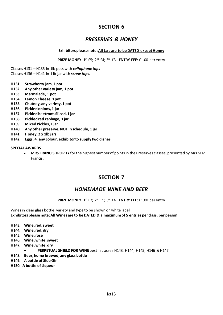# *PRESERVES & HONEY*

#### **Exhibitors please note: All Jars are to be DATED except Honey**

**PRIZE MONEY**: 1st £5; 2nd £4; 3rd £3. **ENTRY FEE**: £1.00 perentry

Classes H131 – H135 in 1lb pots with *cellophane tops* Classes H136 – H141 in 1 lb jar with *screw tops.*

- **H131. Strawberry jam, 1 pot**
- **H132. Any other variety jam, 1 pot**
- **H133. Marmalade, 1 pot**
- **H134. Lemon Cheese, 1 pot**
- **H135. Chutney, any variety, 1 pot**
- **H136. Pickled onions, 1 jar**
- **H137. Pickled beetroot, Sliced, 1 jar**
- **H138. Pickled red cabbage, 1 jar**
- **H139. Mixed Pickles, 1 jar**
- **H140. Any other preserve, NOT in schedule, 1 jar**
- **H141. Honey, 2 x 1lb jars**
- **H142. Eggs, 4, any colour, exhibitor to supply two dishes**

#### **SPECIAL AWARDS**

• **MRS FRANCIS TROPHY** for the highest number of points in the Preserves classes, presented by Mrs M M Francis.

# **SECTION 7**

# *HOMEMADE WINE AND BEER*

#### **PRIZE MONEY**: 1st £7; 2nd £5; 3rd £4. **ENTRY FEE**: £1.00 per entry

Wines in clear glass bottle, variety and type to be shown on white label **Exhibitors please note: All Wines are to be DATED & a maximum of 5 entries per class, per person**

- **H143. Wine, red, sweet**
- **H144. Wine, red, dry**
- **H145. Wine, rose**
- **H146. Wine, white, sweet**
- **H147. Wine, white, dry**
	- **PERPETUAL SHIELD FOR WINE** best in classes H143, H144, H145, H146 & H147
- **H148. Beer, home brewed, any glass bottle**
- **H149. A bottle of Sloe Gin**
- **H150. A bottle of Liqueur**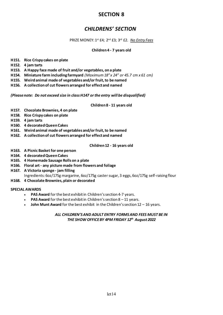# *CHILDRENS' SECTION*

PRIZE MONEY: 1st £4; 2nd £3; 3rd £2. *No Entry Fees* 

# **Children 4 - 7 years old**

- **H151. Rice Crispy cakes on plate**
- **H152. 4 jam tarts**
- **H153. A Happy face made of fruit and/or vegetables, on a plate**
- **H154. Miniature farm including farmyard** *(Maximum 18" x 24" or 45.7 cm x 61 cm)*
- **H155. Weird animal made of vegetables and/or fruit, to be named**
- **H156. A collection of cut flowers arranged for effect and named**

#### *(Please note: Do not exceed size in class H147 or the entry will be disqualified)*

#### **Children 8 - 11 years old**

- **H157. Chocolate Brownies, 4 on plate**
- **H158. Rice Crispy cakes on plate**
- **H159. 4 jam tarts**
- **H160. 4 decorated Queen Cakes**
- **H161. Weird animal made of vegetables and/or fruit, to be named**
- **H162. A collection of cut flowers arranged for effect and named**

#### **Children 12 - 16 years old**

- **H163. A Picnic Basket for one person**
- **H164. 4 decorated Queen Cakes**
- **H165. 4 Homemade Sausage Rolls on a plate**
- **H166. Floral art any picture made from flowers and foliage**
- **H167. A Victoria sponge jam filling**  Ingredients: 6oz/175g margarine, 6oz/175g caster sugar, 3 eggs, 6oz/175g self-raising flour
- **H168. 4 Chocolate Brownies, plain or decorated**

#### **SPECIAL AWARDS**

- **PAS Award** for the best exhibit in Children's section 4-7 years.
- **PAS Award** for the best exhibit in Children's section 8 11 years.
- **John Munt Award** for the best exhibit in the Children's section 12 16 years.

## *ALL CHILDREN'S AND ADULT ENTRY FORMS AND FEES MUST BE IN THE SHOW OFFICEBY 4PM FRIDAY 12th August 2022*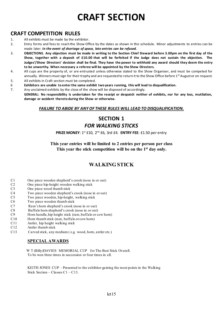# **CRAFT SECTION**

# **CRAFT COMPETITION RULES**

- 1. All exhibits must be made by the exhibitor.
- 2. Entry forms and fees to reach the Show Office by the dates as shown in this schedule. Minor adjustments to entries can be made later. *In the event of shortage of space, late entries can be refused.*
- 3. **OBJECTIONS. Any objection must be made in writing to the Section Chief Steward before 3.00pm on the first day of the Show, together with a deposit of £10.00 that will be forfeited if the Judge does not sustain the objection. The Judges'/Show Directors' decision shall be final. They have the power to withhold any award should they deem the entry to be unworthy. When necessary a referee will be appointed by the Show Directors.**
- 4. All cups are the property of, or are entrusted unless otherwise stated to the Show Organiser, and must be competed for annually. Winners must sign for their trophy and are requested to return it to the Show Office before 1<sup>st</sup> August or on request.
- 5. All exhibits in Craft section must be completed.
- 6 **Exhibitors are unable to enter the same exhibit two years running, this will lead to disqualification.**
- 7. Any unclaimed exhibits by the close of the show will be disposed of accordingly. **GENERAL: No responsibility is undertaken for the receipt or despatch neither of exhibits, nor for any loss, mutilation, damage or accident thereto during the Show or otherwise.**

# *FAILURE TO ABIDE BY ANY OF THESE RULES WILL LEAD TO DISQUALIFICATION.*

# **SECTION 1**  *FOR WALKING STICKS*

#### **PRIZE MONEY**: 1<sup>st</sup> £10, 2<sup>nd</sup> £6, 3rd £4. **ENTRY FEE**: £1.50 per entry

**This year entries will be limited to 2 entries per person per class This year the stick competition will be on the 1st day only.** 

# **WALKING STICK**

- C1 One piece wooden shepherd's crook (nose in or out)<br>C2 One piece hip-height wooden walking stick
- C2 One piece hip-height wooden walking stick<br>C3 One piece wood thumb stick
- One piece wood thumb stick
- C4 Two piece wooden shepherd's crook (nose in or out)
- C5 Two piece wooden, hip-height, walking stick
- C6 Two piece wooden thumb stick
- C7 Ram's horn shepherd's crook (nose in or out)<br>C8 Buffalo horn shepherd's crook (nose in or out)
- C8 Buffalo horn shepherd's crook (nose in or out)<br>C9 Horn handle, hip height stick (ram, buffalo or c
- C9 Horn handle, hip height stick (ram, buffalo or cow horn)<br>C10 Horn thumb stick (ram, buffalo or cow horn)
- C10 Horn thumb stick (ram, buffalo or cow horn)<br>C11 Antler, hip height walking stick
- C11 Antler, hip height walking stick<br>C12 Antler thumb stick
- Antler thumb stick
- C13 Carved stick, any medium ( e.g. wood, horn, antler etc.)

# **SPECIAL AWARDS**

 W T (Billy)DAVIES MEMORIAL CUP for The Best Stick Overall. To be won three times in succession or four times in all.

KEITH JONES CUP – Presented to the exhibitor gaining the most points in the Walking Stick Section – Classes C1 – C13.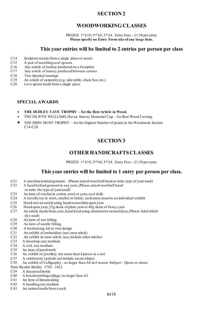# **WOODWORKING CLASSES**

PRIZES:  $1^{st}$ £10;  $2^{nd}$ £6;  $3^{rd}$ £4. Entry Fees - £1.50 per entry **Please specify on Entry Form size of any large item.**

#### . **This year entries will be limited to 2 entries per person per class**

- C14 Sculpture (made from a single piece or more)
- C15 A pair of matching cawl spoons
- C16 Any article of turnery produced on a faceplate<br>C17 Any article of turnery produced between centre
- Any article of turnery produced between centres
- C18 Two identical turnings<br>C19 An article of carpentry
- C19 An article of carpentry (e.g. side-table, chair, box etc.)<br>C20 Love spoon made from a single piece
- Love spoon made from a single piece

#### **SPECIAL AWARDS**

- **THE DUDLEY CAVE TROPHY – for the Best Article in Wood.**
- THE ISLWYN WILLIAMS (Seven Sisters) Memorial Cup for Best Wood Carving.
- THE JOHN MUNT TROPHY for the Highest Number of points in the Woodwork Section C14-C20

# **SECTION 3**

# **OTHER HANDICRAFTSCLASSES**

PRIZES:  $1^{st}$ £10;  $2^{nd}$ £6;  $3^{rd}$ £4. Entry Fees - £1.50 per entry

# **This year entries will be limited to 1 entry per person per class.**

- C21 A machine knitted garment. (Please attach wool ball band or write type of yarn used)<br>C22 A hand knitted garment in any yarn: (Please attach wool ball band
- A hand knitted garment in any yarn; (Please attach wool ball band
- or write the type of yarn used)<br>C23 An item of crochet in cotton, we
- An item of crochet in cotton, wool or yarn; excl dolls
- C24 A novelty toy in wool, crochet or fabric; each entry must be an individual exhibit
- C25 Hand-woven article using hand or machine spun yarn<br>C26 Hand spun yarn, 25g skein of plain yarn or 40g skein
- C26 Hand spun yarn, 25g skein of plain yarn or 40g skein of fancy yarn<br>C27 An article made from yarn, hand dyed using chemical or natural dy
- An article made from yarn, hand dyed using chemical or natural dyes; (Please label which dye used)<br>C<sub>28</sub> An item of
- C28 An item of wet felting<br>C29 An item of needle felti
- C29 An item of needle felting<br>C30 A hooked rug: kit or own
- C30 A hooked rug; kit or own design<br>C31 An exhibit of embroidery (not cr
- C31 An exhibit of embroidery (not cross stitch)<br>C32 An exhibit in cross stitch; may include other
- C32 An exhibit in cross stitch; may include other stitches<br>C33 A doorstop; any medium
- A doorstop; any medium
- C34 A owl; any medium<br>C35 An item of patchwo
- An item of patchwork
- C36 An exhibit of jewellery (no more than 4 pieces in a set)
- C37 A celebratory card (do not include an envelope)
- C38 An exhibit of Calligraphy no larger than A4 incl mount. Subject Quote or about
- Peter Bysshe Shelley 1792 1822
- C39 A decorated bottle
- C40 A beachcombing collage; no larger than A3<br>C41 An item of dressmaking
- C41 An item of dressmaking<br>C42 A handbagany medium
- C42 A handbag any medium<br>C43 An animalmade from a
- An animal made from a sock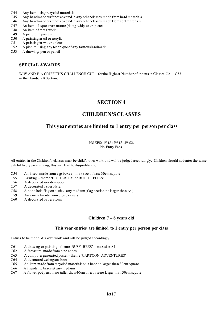- C44 Any item using recycled materials<br>C45 Any handmade craft not covered in
- Any handmade craft not covered in any other classes made from hard materials
- C46 Any handmade craft not covered in any other classes made from soft materials
- C47 An item of equestrian nature (riding whip or crop etc)<br>C48 An item of metalwork
- C48 An item of metalwork<br>C49 A picture in pastels
- A picture in pastels
- C50 A painting in oil or acrylic
- C51 A painting in water-colour
- C52 A picture using any technique of any famous landmark
- C53 A drawing; pen or pencil

# **SPECIAL AWARDS**

 W W AND B A GRIFFITHS CHALLENGE CUP - for the Highest Number of points in Classes C21 - C53 in the Handicraft Section.

# **SECTION 4**

# **CHILDREN'S CLASSES**

# **This year entries are limited to 1 entry per person per class**

PRIZES:  $1^{st}$ £5;  $2^{nd}$ £3;  $3^{rd}$ £2. No Entry Fees.

All entries in the Children's classes must be child's own work and will be judged accordingly. Children should not enter the same exhibit two years running, this will lead to disqualification.

- C54 An insect made from egg boxes max size of base 30cm square<br>C55 Painting theme 'BUTTERFLY or BUTTERFLIES'
- C55 Painting theme 'BUTTERFLY or BUTTERFLIES'<br>C56 A decorated wooden spoon
- C56 A decorated wooden spoon<br>C57 A decorated paper plate.
- A decorated paper plate.
- C58 A hand held flag on a stick, any medium (flag section no larger than A4)
- An animal made from pipe cleaners
- C60 A decorated paper crown

## **Children 7 – 8 years old**

#### **This year entries are limited to 1 entry per person per class**

Entries to be the child's own work and will be judged accordingly.

- C61 A drawing or painting theme 'BUSY BEES' max size A4
- C62 A 'creature' made from pine cones
- C63 A computer generated poster theme 'CARTOON ADVENTURES'
- C64 A decorated wellington boot<br>C65 An item made from recycled
- An item made from recycled materials on a base no larger than 30cm square
- C66 A friendship bracelet any medium
- C67 A flower pot person, no taller than 40cm on a base no larger than 30cm square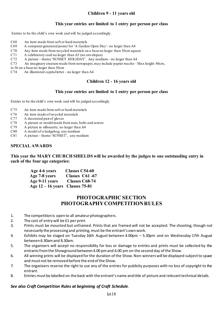# **Children 9 - 11 years old**

# **This year entries are limited to 1 entry per person per class**

Entries to be the child's own work and will be judged accordingly.

- C68 An item made from soft or hard materials
- C69 A computer generated poster for 'A Garden Open Day'- no larger than A4
- C70 Any item made from recycled materials on a base no larger than 30cm square  $C71$  A celebratory card no larger than A5 (no envelopes)
- C71 A celebratory card no larger than A5 (no envelopes)<br>C72 A picture theme 'SUNSET HOLIDAY'. Any medi
- A picture theme 'SUNSET HOLIDAY'. Any medium no larger than A4
- C73 An imaginary creature made from newspaper, may include papier mache Max height 40cm,

to fit on a base no larger than 30cm<br>C74 An illustrated capital letter

An illustrated capital letter - no larger than A4

# **Children 12 - 16 years old**

# **This year entries are limited to 1 entry per person per class**

Entries to be the child's own work and will be judged accordingly.

- C75 An item made from soft or hard materials
- C76 An item made of recycled materials
- C77 A decorated pair of gloves
- C78 A picture or model made from nuts, bolts and screws
- C79 A picture in silhouette; no larger than A4
- C80 A model of a hedgehog; any medium
- C81 A picture theme 'SUNSET', any medium

# **SPECIAL AWARDS**

**This year the MARY CHURCH SHIELDS will be awarded by the judges to one outstanding entry in each of the four age categories:** 

| Age 4-6 years                     | Classes C54-60 |
|-----------------------------------|----------------|
| Age 7-8 years                     | Classes C61-67 |
| Age 9-11 years                    | Classes C68-74 |
| Age $12 - 16$ years Classes 75-81 |                |

# **PHOTOGRAPHIC SECTION PHOTOGRAPHY COMPETITION RULES**

- 1. The competition is open to all amateur photographers.
- 2. The cost of entry will be £1 per print.
- 3. Prints must be mounted but unframed. Prints that are framed will not be accepted. The shooting, though not necessarily the processing and printing, must be the entrant's own work.
- 4. Exhibits may be staged on Tuesday 16th August between 4.00pm 5.30pm and on Wednesday 17th August between 6.30am and 8.30am.
- 5. The organisers will accept no responsibility for loss or damage to entries and prints must be collected by the entrants from the Showground between 4.00 pm and 6.00 pm on the second day of the Show.
- 6. All winning prints will be displayed for the duration of the Show. Non-winners will be displayed subject to space and must not be removed before the end of the Show.
- 7. The organisers reserve the right to use any of the entries for publicity purposes with no loss of copyright to the entrant.
- 8. Entries must be labelled on the back with the entrant's name and title of picture and relevant technical details.

## *See also Craft Competition Rules at beginning of Craft Schedule.*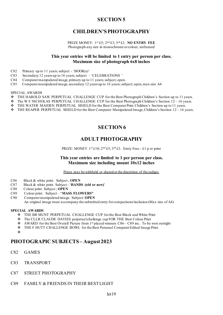# **CHILDREN'S PHOTOGRAPHY**

#### PRIZE MONEY: 1st £5; 2nd £3; 3rd £2. **NO ENTRY FEE** Photograph any size in monochrome or colour, unframed

# **This year entries will be limited to 1 entry per person per class. Maximum size of photograph 6x8 inches**

- C82 Primary up to 11 years; subject 'BOOK(s)'
- C83 Secondary 12 years up to 16 years; subject 'CELEBRATIONS'<br>C84 Computer manipulated image, primary up to 11 years; subject; ope
- C84 Computer manipulated image, primary up to 11 years; subject; open.<br>C85 Computer manipulated image, secondary 12 years up to 16 years; sub
- Computer manipulated image, secondary 12 years up to 16 years; subject; open, max size A4

#### SPECIAL AWARDS

- THE HAROLD SAW PERPETUAL CHALLENGE CUP for the Best Photograph Children's Section up to 11 years.
- $\bullet$  The W F NICHOLAS PERPETUAL CHALLENGE CUP for the Best Photograph Children's Section 12 16 years.
- THE WATER MAIDEN PERPETUAL SHIELD for the Best Computer Print Children's Section up to 11 years.
- THE REAPER PERPETUAL SHIELD for the Best Computer Manipulated Image, Children's Section 12 16 years.

# **SECTION 6**

# **ADULT PHOTOGRAPHY**

PRIZE: MONEY 1st £10;  $2<sup>nd</sup>$  £5;  $3<sup>rd</sup>$  £3. Entry Fees - £1 p er print

#### **This year entries are limited to 1 per person per class. Maximum size including mount 10x12 inches**

Prizes may be withheld or shared at the discretion of the judges.

- C86 Black & white print. Subject ; **OPEN**
- C87 Black & white print. Subject '**HANDS (old or new)**'
- C88 Colour print. Subject ; **OPEN**
- C89 Colour print. Subject "**MASS FLOWERS"**
- C90 Computer manipulated image. Subject: **OPEN** An original image must accompany the submitted entry for comparisons/inclusion (Max size of A4)

#### **SPECIAL AWARDS**

- THE BR MUNT PERPETUAL CHALLENGE CUP for the Best Black and White Print
- The CLLR CLAUDE DAVIES perpetual challenge cup FOR THE Best Colour Print
- $\bullet$  AWARD for the Best Overall Picture from 1<sup>st</sup> placed winners C86 C89 inc. To be won outright
- THE F HUTT CHALLENGE BOWL for the Best Personal Computer Edited Image Print.
- $\bullet^*$

# **PHOTOGRAPIC SUBJECTS – August 2023**

- C82 GAMES
- C83 TRANSPORT
- C87 STREET PHOTOGRAPHY
- C89 FAMILY & FRIENDS IN THEIR BEST LIGHT